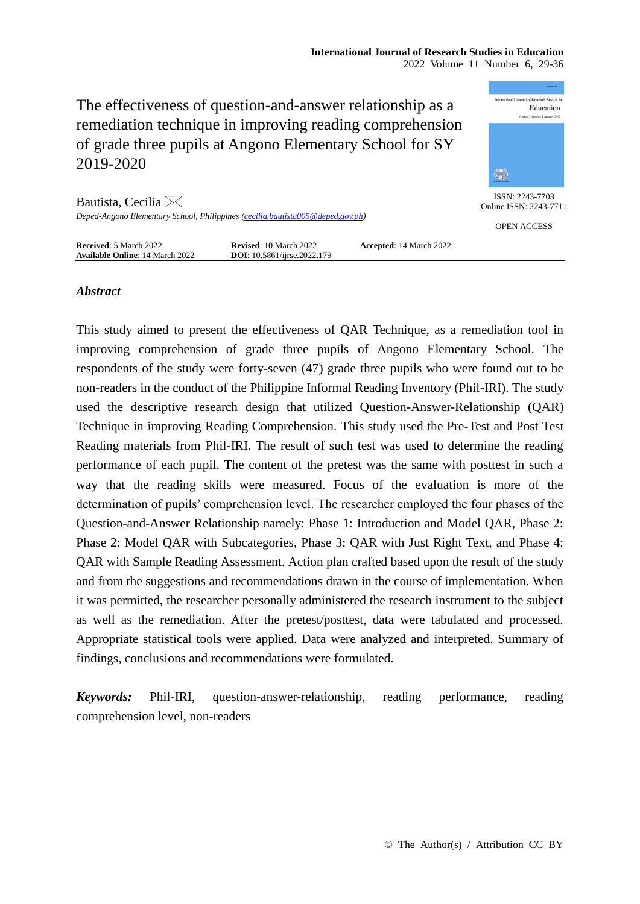

# *Abstract*

This study aimed to present the effectiveness of QAR Technique, as a remediation tool in improving comprehension of grade three pupils of Angono Elementary School. The respondents of the study were forty-seven (47) grade three pupils who were found out to be non-readers in the conduct of the Philippine Informal Reading Inventory (Phil-IRI). The study used the descriptive research design that utilized Question-Answer-Relationship (QAR) Technique in improving Reading Comprehension. This study used the Pre-Test and Post Test Reading materials from Phil-IRI. The result of such test was used to determine the reading performance of each pupil. The content of the pretest was the same with posttest in such a way that the reading skills were measured. Focus of the evaluation is more of the determination of pupils' comprehension level. The researcher employed the four phases of the Question-and-Answer Relationship namely: Phase 1: Introduction and Model QAR, Phase 2: Phase 2: Model QAR with Subcategories, Phase 3: QAR with Just Right Text, and Phase 4: QAR with Sample Reading Assessment. Action plan crafted based upon the result of the study and from the suggestions and recommendations drawn in the course of implementation. When it was permitted, the researcher personally administered the research instrument to the subject as well as the remediation. After the pretest/posttest, data were tabulated and processed. Appropriate statistical tools were applied. Data were analyzed and interpreted. Summary of findings, conclusions and recommendations were formulated.

*Keywords:* Phil-IRI, question-answer-relationship, reading performance, reading comprehension level, non-readers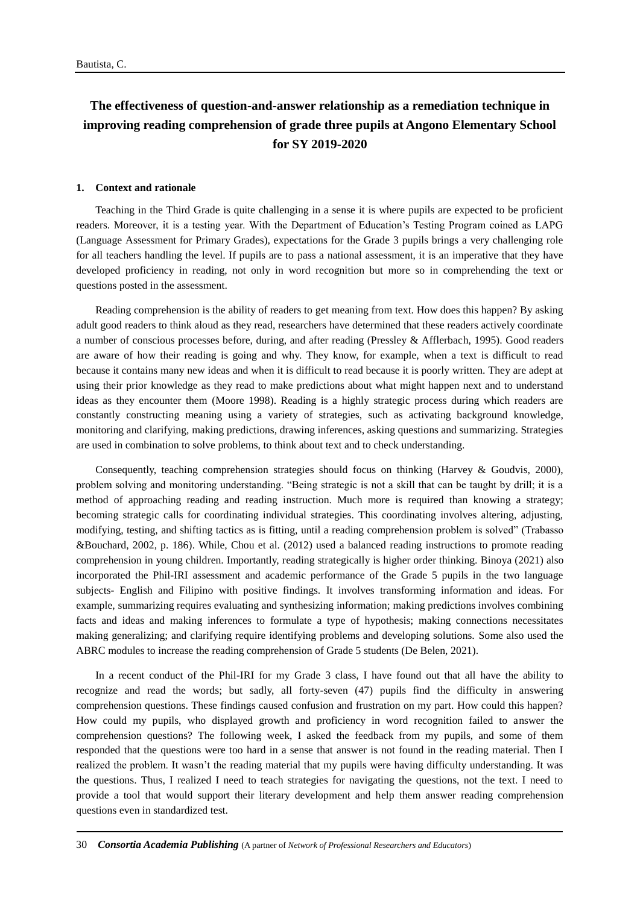# **The effectiveness of question-and-answer relationship as a remediation technique in improving reading comprehension of grade three pupils at Angono Elementary School for SY 2019-2020**

#### **1. Context and rationale**

Teaching in the Third Grade is quite challenging in a sense it is where pupils are expected to be proficient readers. Moreover, it is a testing year. With the Department of Education's Testing Program coined as LAPG (Language Assessment for Primary Grades), expectations for the Grade 3 pupils brings a very challenging role for all teachers handling the level. If pupils are to pass a national assessment, it is an imperative that they have developed proficiency in reading, not only in word recognition but more so in comprehending the text or questions posted in the assessment.

Reading comprehension is the ability of readers to get meaning from text. How does this happen? By asking adult good readers to think aloud as they read, researchers have determined that these readers actively coordinate a number of conscious processes before, during, and after reading (Pressley & Afflerbach, 1995). Good readers are aware of how their reading is going and why. They know, for example, when a text is difficult to read because it contains many new ideas and when it is difficult to read because it is poorly written. They are adept at using their prior knowledge as they read to make predictions about what might happen next and to understand ideas as they encounter them (Moore 1998). Reading is a highly strategic process during which readers are constantly constructing meaning using a variety of strategies, such as activating background knowledge, monitoring and clarifying, making predictions, drawing inferences, asking questions and summarizing. Strategies are used in combination to solve problems, to think about text and to check understanding.

Consequently, teaching comprehension strategies should focus on thinking (Harvey & Goudvis, 2000), problem solving and monitoring understanding. "Being strategic is not a skill that can be taught by drill; it is a method of approaching reading and reading instruction. Much more is required than knowing a strategy; becoming strategic calls for coordinating individual strategies. This coordinating involves altering, adjusting, modifying, testing, and shifting tactics as is fitting, until a reading comprehension problem is solved" (Trabasso &Bouchard, 2002, p. 186). While, Chou et al. (2012) used a balanced reading instructions to promote reading comprehension in young children. Importantly, reading strategically is higher order thinking. Binoya (2021) also incorporated the Phil-IRI assessment and academic performance of the Grade 5 pupils in the two language subjects- English and Filipino with positive findings. It involves transforming information and ideas. For example, summarizing requires evaluating and synthesizing information; making predictions involves combining facts and ideas and making inferences to formulate a type of hypothesis; making connections necessitates making generalizing; and clarifying require identifying problems and developing solutions. Some also used the ABRC modules to increase the reading comprehension of Grade 5 students (De Belen, 2021).

In a recent conduct of the Phil-IRI for my Grade 3 class, I have found out that all have the ability to recognize and read the words; but sadly, all forty-seven (47) pupils find the difficulty in answering comprehension questions. These findings caused confusion and frustration on my part. How could this happen? How could my pupils, who displayed growth and proficiency in word recognition failed to answer the comprehension questions? The following week, I asked the feedback from my pupils, and some of them responded that the questions were too hard in a sense that answer is not found in the reading material. Then I realized the problem. It wasn't the reading material that my pupils were having difficulty understanding. It was the questions. Thus, I realized I need to teach strategies for navigating the questions, not the text. I need to provide a tool that would support their literary development and help them answer reading comprehension questions even in standardized test.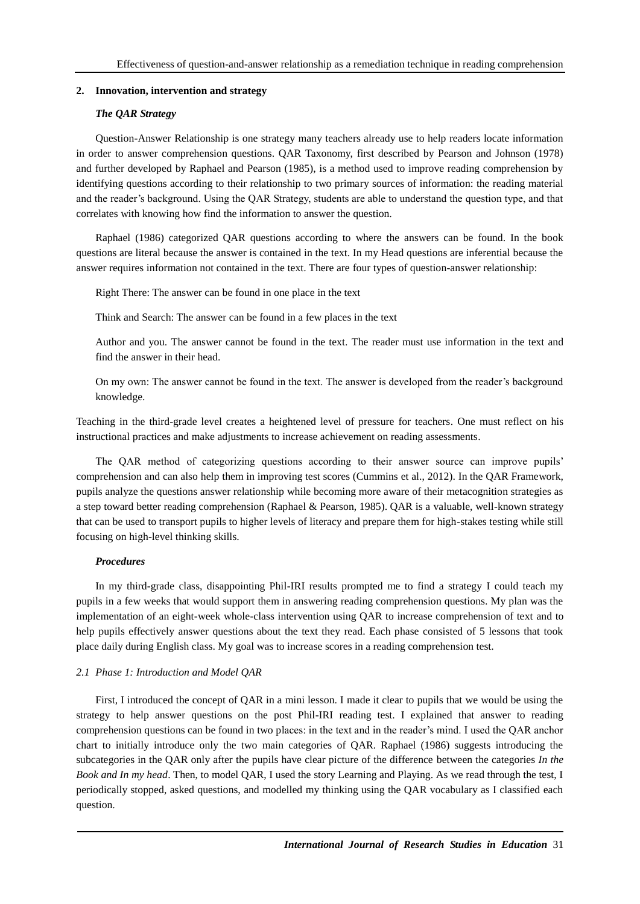# **2. Innovation, intervention and strategy**

# *The QAR Strategy*

Question-Answer Relationship is one strategy many teachers already use to help readers locate information in order to answer comprehension questions. QAR Taxonomy, first described by Pearson and Johnson (1978) and further developed by Raphael and Pearson (1985), is a method used to improve reading comprehension by identifying questions according to their relationship to two primary sources of information: the reading material and the reader's background. Using the QAR Strategy, students are able to understand the question type, and that correlates with knowing how find the information to answer the question.

Raphael (1986) categorized QAR questions according to where the answers can be found. In the book questions are literal because the answer is contained in the text. In my Head questions are inferential because the answer requires information not contained in the text. There are four types of question-answer relationship:

Right There: The answer can be found in one place in the text

Think and Search: The answer can be found in a few places in the text

Author and you. The answer cannot be found in the text. The reader must use information in the text and find the answer in their head.

On my own: The answer cannot be found in the text. The answer is developed from the reader's background knowledge.

Teaching in the third-grade level creates a heightened level of pressure for teachers. One must reflect on his instructional practices and make adjustments to increase achievement on reading assessments.

The QAR method of categorizing questions according to their answer source can improve pupils' comprehension and can also help them in improving test scores (Cummins et al., 2012). In the QAR Framework, pupils analyze the questions answer relationship while becoming more aware of their metacognition strategies as a step toward better reading comprehension (Raphael & Pearson, 1985). QAR is a valuable, well-known strategy that can be used to transport pupils to higher levels of literacy and prepare them for high-stakes testing while still focusing on high-level thinking skills.

# *Procedures*

In my third-grade class, disappointing Phil-IRI results prompted me to find a strategy I could teach my pupils in a few weeks that would support them in answering reading comprehension questions. My plan was the implementation of an eight-week whole-class intervention using QAR to increase comprehension of text and to help pupils effectively answer questions about the text they read. Each phase consisted of 5 lessons that took place daily during English class. My goal was to increase scores in a reading comprehension test.

# *2.1 Phase 1: Introduction and Model QAR*

First, I introduced the concept of QAR in a mini lesson. I made it clear to pupils that we would be using the strategy to help answer questions on the post Phil-IRI reading test. I explained that answer to reading comprehension questions can be found in two places: in the text and in the reader's mind. I used the QAR anchor chart to initially introduce only the two main categories of QAR. Raphael (1986) suggests introducing the subcategories in the QAR only after the pupils have clear picture of the difference between the categories *In the Book and In my head*. Then, to model QAR, I used the story Learning and Playing. As we read through the test, I periodically stopped, asked questions, and modelled my thinking using the QAR vocabulary as I classified each question.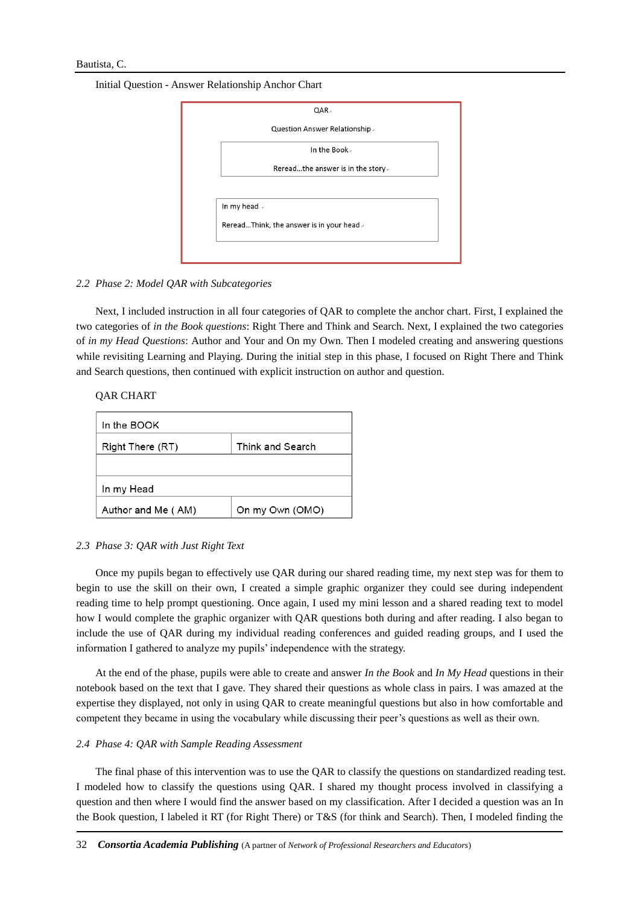Initial Question - Answer Relationship Anchor Chart

| Question Answer Relationship .<br>In the Book.<br>Rereadthe answer is in the story. |  |
|-------------------------------------------------------------------------------------|--|
|                                                                                     |  |
|                                                                                     |  |
|                                                                                     |  |
|                                                                                     |  |
| In my head »                                                                        |  |
| RereadThink, the answer is in your head.                                            |  |

## *2.2 Phase 2: Model QAR with Subcategories*

Next, I included instruction in all four categories of QAR to complete the anchor chart. First, I explained the two categories of *in the Book questions*: Right There and Think and Search. Next, I explained the two categories of *in my Head Questions*: Author and Your and On my Own. Then I modeled creating and answering questions while revisiting Learning and Playing. During the initial step in this phase, I focused on Right There and Think and Search questions, then continued with explicit instruction on author and question.

# QAR CHART

| In the BOOK                          |                 |  |  |  |  |
|--------------------------------------|-----------------|--|--|--|--|
| Think and Search<br>Right There (RT) |                 |  |  |  |  |
|                                      |                 |  |  |  |  |
| In my Head                           |                 |  |  |  |  |
| Author and Me (AM)                   | On my Own (OMO) |  |  |  |  |

#### *2.3 Phase 3: QAR with Just Right Text*

Once my pupils began to effectively use QAR during our shared reading time, my next step was for them to begin to use the skill on their own, I created a simple graphic organizer they could see during independent reading time to help prompt questioning. Once again, I used my mini lesson and a shared reading text to model how I would complete the graphic organizer with QAR questions both during and after reading. I also began to include the use of QAR during my individual reading conferences and guided reading groups, and I used the information I gathered to analyze my pupils' independence with the strategy.

At the end of the phase, pupils were able to create and answer *In the Book* and *In My Head* questions in their notebook based on the text that I gave. They shared their questions as whole class in pairs. I was amazed at the expertise they displayed, not only in using QAR to create meaningful questions but also in how comfortable and competent they became in using the vocabulary while discussing their peer's questions as well as their own.

#### *2.4 Phase 4: QAR with Sample Reading Assessment*

The final phase of this intervention was to use the QAR to classify the questions on standardized reading test. I modeled how to classify the questions using QAR. I shared my thought process involved in classifying a question and then where I would find the answer based on my classification. After I decided a question was an In the Book question, I labeled it RT (for Right There) or T&S (for think and Search). Then, I modeled finding the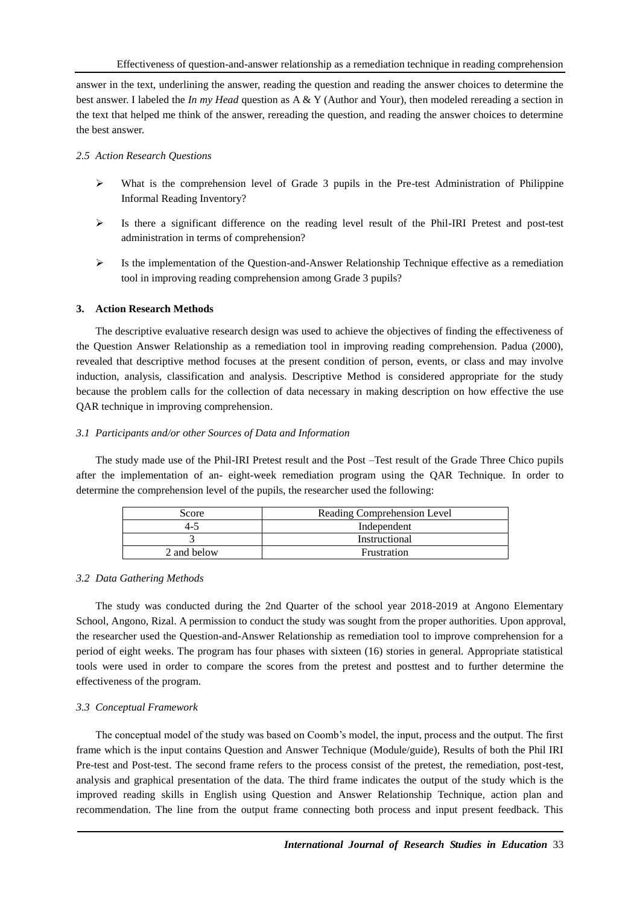answer in the text, underlining the answer, reading the question and reading the answer choices to determine the best answer. I labeled the *In my Head* question as A & Y (Author and Your), then modeled rereading a section in the text that helped me think of the answer, rereading the question, and reading the answer choices to determine the best answer.

# *2.5 Action Research Questions*

- $\triangleright$  What is the comprehension level of Grade 3 pupils in the Pre-test Administration of Philippine Informal Reading Inventory?
- $\triangleright$  Is there a significant difference on the reading level result of the Phil-IRI Pretest and post-test administration in terms of comprehension?
- $\triangleright$  Is the implementation of the Question-and-Answer Relationship Technique effective as a remediation tool in improving reading comprehension among Grade 3 pupils?

# **3. Action Research Methods**

The descriptive evaluative research design was used to achieve the objectives of finding the effectiveness of the Question Answer Relationship as a remediation tool in improving reading comprehension. Padua (2000), revealed that descriptive method focuses at the present condition of person, events, or class and may involve induction, analysis, classification and analysis. Descriptive Method is considered appropriate for the study because the problem calls for the collection of data necessary in making description on how effective the use QAR technique in improving comprehension.

# *3.1 Participants and/or other Sources of Data and Information*

The study made use of the Phil-IRI Pretest result and the Post –Test result of the Grade Three Chico pupils after the implementation of an- eight-week remediation program using the QAR Technique. In order to determine the comprehension level of the pupils, the researcher used the following:

| Score       | Reading Comprehension Level |  |  |  |  |
|-------------|-----------------------------|--|--|--|--|
| 4-5         | Independent                 |  |  |  |  |
|             | Instructional               |  |  |  |  |
| 2 and below | Frustration                 |  |  |  |  |

# *3.2 Data Gathering Methods*

The study was conducted during the 2nd Quarter of the school year 2018-2019 at Angono Elementary School, Angono, Rizal. A permission to conduct the study was sought from the proper authorities. Upon approval, the researcher used the Question-and-Answer Relationship as remediation tool to improve comprehension for a period of eight weeks. The program has four phases with sixteen (16) stories in general. Appropriate statistical tools were used in order to compare the scores from the pretest and posttest and to further determine the effectiveness of the program.

# *3.3 Conceptual Framework*

The conceptual model of the study was based on Coomb's model, the input, process and the output. The first frame which is the input contains Question and Answer Technique (Module/guide), Results of both the Phil IRI Pre-test and Post-test. The second frame refers to the process consist of the pretest, the remediation, post-test, analysis and graphical presentation of the data. The third frame indicates the output of the study which is the improved reading skills in English using Question and Answer Relationship Technique, action plan and recommendation. The line from the output frame connecting both process and input present feedback. This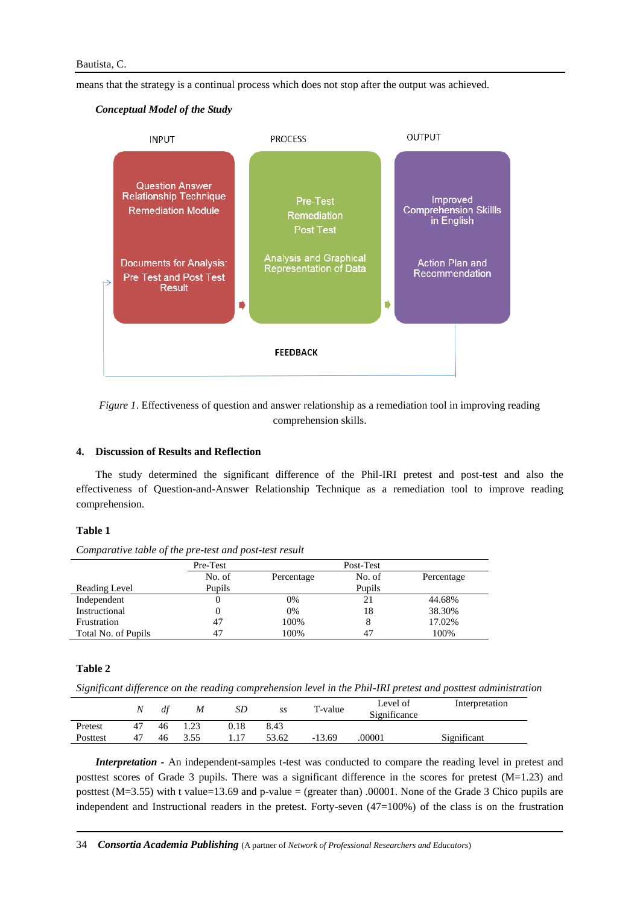means that the strategy is a continual process which does not stop after the output was achieved.

## *Conceptual Model of the Study*



*Figure 1*. Effectiveness of question and answer relationship as a remediation tool in improving reading comprehension skills.

## **4. Discussion of Results and Reflection**

The study determined the significant difference of the Phil-IRI pretest and post-test and also the effectiveness of Question-and-Answer Relationship Technique as a remediation tool to improve reading comprehension.

#### **Table 1**

*Comparative table of the pre-test and post-test result*

|                     | Pre-Test |            | Post-Test |            |  |
|---------------------|----------|------------|-----------|------------|--|
|                     | No. of   | Percentage | No. of    | Percentage |  |
| Reading Level       | Pupils   |            | Pupils    |            |  |
| Independent         | 0        | 0%         | 21        | 44.68%     |  |
| Instructional       | 0        | 0%         | 18        | 38.30%     |  |
| Frustration         | 47       | 100%       |           | 17.02%     |  |
| Total No. of Pupils | 47       | 100%       | 47        | 100%       |  |

### **Table 2**

*Significant difference on the reading comprehension level in the Phil-IRI pretest and posttest administration*

|          | N  | df | M    | SD   | SS    | T-value  | Level of<br>Significance | Interpretation |
|----------|----|----|------|------|-------|----------|--------------------------|----------------|
| Pretest  | 47 | 46 | .23  | 0.18 | 8.43  |          |                          |                |
| Posttest | 47 | 46 | 3.55 |      | 53.62 | $-13.69$ | .00001                   | Significant    |

*Interpretation* - An independent-samples t-test was conducted to compare the reading level in pretest and posttest scores of Grade 3 pupils. There was a significant difference in the scores for pretest (M=1.23) and posttest ( $M=3.55$ ) with t value=13.69 and p-value = (greater than) .00001. None of the Grade 3 Chico pupils are independent and Instructional readers in the pretest. Forty-seven (47=100%) of the class is on the frustration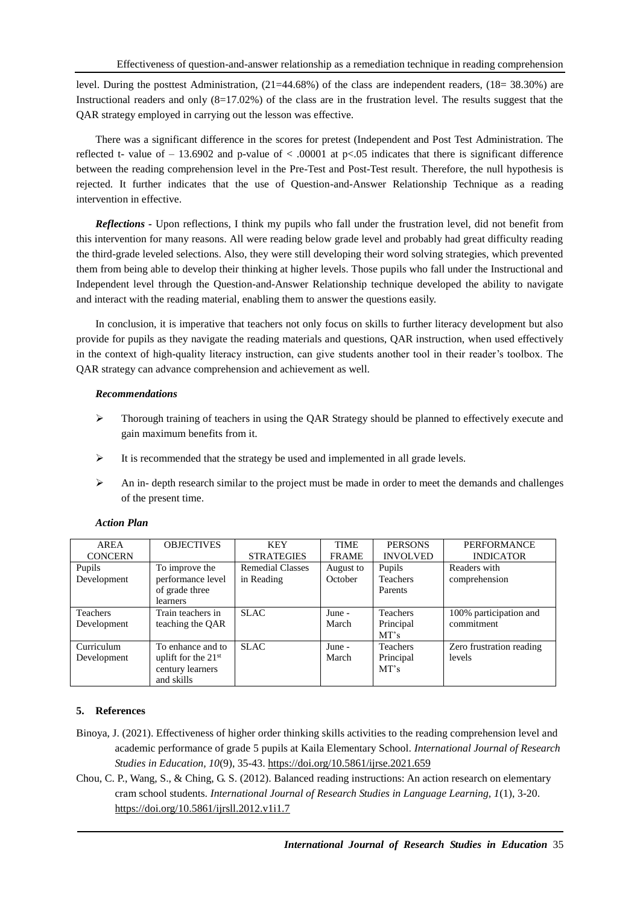level. During the posttest Administration, (21=44.68%) of the class are independent readers, (18= 38.30%) are Instructional readers and only (8=17.02%) of the class are in the frustration level. The results suggest that the QAR strategy employed in carrying out the lesson was effective.

There was a significant difference in the scores for pretest (Independent and Post Test Administration. The reflected t- value of  $- 13.6902$  and p-value of  $< .00001$  at p $< .05$  indicates that there is significant difference between the reading comprehension level in the Pre-Test and Post-Test result. Therefore, the null hypothesis is rejected. It further indicates that the use of Question-and-Answer Relationship Technique as a reading intervention in effective.

*Reflections -* Upon reflections, I think my pupils who fall under the frustration level, did not benefit from this intervention for many reasons. All were reading below grade level and probably had great difficulty reading the third-grade leveled selections. Also, they were still developing their word solving strategies, which prevented them from being able to develop their thinking at higher levels. Those pupils who fall under the Instructional and Independent level through the Question-and-Answer Relationship technique developed the ability to navigate and interact with the reading material, enabling them to answer the questions easily.

In conclusion, it is imperative that teachers not only focus on skills to further literacy development but also provide for pupils as they navigate the reading materials and questions, QAR instruction, when used effectively in the context of high-quality literacy instruction, can give students another tool in their reader's toolbox. The QAR strategy can advance comprehension and achievement as well.

# *Recommendations*

- $\triangleright$  Thorough training of teachers in using the OAR Strategy should be planned to effectively execute and gain maximum benefits from it.
- $\triangleright$  It is recommended that the strategy be used and implemented in all grade levels.
- $\triangleright$  An in- depth research similar to the project must be made in order to meet the demands and challenges of the present time.

| AREA            | <b>OBJECTIVES</b>     | <b>KEY</b>              | <b>TIME</b>  | <b>PERSONS</b>  | <b>PERFORMANCE</b>       |
|-----------------|-----------------------|-------------------------|--------------|-----------------|--------------------------|
| <b>CONCERN</b>  |                       | <b>STRATEGIES</b>       | <b>FRAME</b> | <b>INVOLVED</b> | <b>INDICATOR</b>         |
| Pupils          | To improve the        | <b>Remedial Classes</b> | August to    | Pupils          | Readers with             |
| Development     | performance level     | in Reading              | October      | <b>Teachers</b> | comprehension            |
|                 | of grade three        |                         |              | Parents         |                          |
|                 | <i>learners</i>       |                         |              |                 |                          |
| <b>Teachers</b> | Train teachers in     | <b>SLAC</b>             | June -       | <b>Teachers</b> | 100% participation and   |
| Development     | teaching the QAR      |                         | March        | Principal       | commitment               |
|                 |                       |                         |              | MT's            |                          |
| Curriculum      | To enhance and to     | <b>SLAC</b>             | June -       | <b>Teachers</b> | Zero frustration reading |
| Development     | uplift for the $21st$ |                         | March        | Principal       | levels                   |
|                 | century learners      |                         |              | MT's            |                          |
|                 | and skills            |                         |              |                 |                          |

# *Action Plan*

# **5. References**

- Binoya, J. (2021). Effectiveness of higher order thinking skills activities to the reading comprehension level and academic performance of grade 5 pupils at Kaila Elementary School. *International Journal of Research Studies in Education, 10*(9), 35-43.<https://doi.org/10.5861/ijrse.2021.659>
- Chou, C. P., Wang, S., & Ching, G. S. (2012). Balanced reading instructions: An action research on elementary cram school students. *International Journal of Research Studies in Language Learning, 1*(1), 3-20. <https://doi.org/10.5861/ijrsll.2012.v1i1.7>